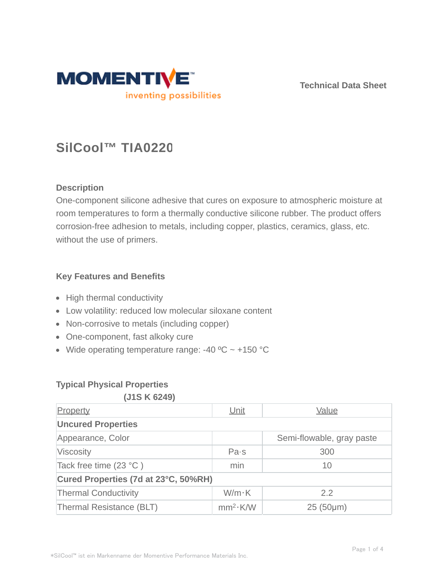

**Technical Data Sheet**

# **SilCool™ TIA0220**

# **Description**

One-component silicone adhesive that cures on exposure to atmospheric moisture at room temperatures to form a thermally conductive silicone rubber. The product offers corrosion-free adhesion to metals, including copper, plastics, ceramics, glass, etc. without the use of primers.

# **Key Features and Benefits**

- High thermal conductivity
- Low volatility: reduced low molecular siloxane content
- Non-corrosive to metals (including copper)
- One-component, fast alkoky cure
- Wide operating temperature range: -40  $^{\circ}$ C ~ +150  $^{\circ}$ C

# **Typical Physical Properties**

#### **(J1S K 6249)**

| Property                             | Unit                 | Value                     |  |  |  |
|--------------------------------------|----------------------|---------------------------|--|--|--|
| <b>Uncured Properties</b>            |                      |                           |  |  |  |
| Appearance, Color                    |                      | Semi-flowable, gray paste |  |  |  |
| Viscosity                            | Pa·s                 | 300                       |  |  |  |
| Tack free time $(23 °C)$             | min                  | 10                        |  |  |  |
| Cured Properties (7d at 23°C, 50%RH) |                      |                           |  |  |  |
| <b>Thermal Conductivity</b>          | $W/m \cdot K$        | 2.2                       |  |  |  |
| Thermal Resistance (BLT)             | mm <sup>2</sup> ·K/W | $25(50 \mu m)$            |  |  |  |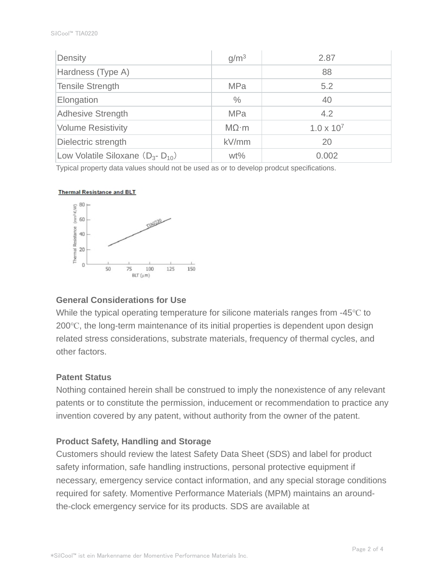| Density                                  | g/m <sup>3</sup>  | 2.87                |  |
|------------------------------------------|-------------------|---------------------|--|
| Hardness (Type A)                        |                   | 88                  |  |
| Tensile Strength                         | <b>MPa</b>        | 5.2                 |  |
| Elongation                               | $\%$              | 40                  |  |
| <b>Adhesive Strength</b>                 | <b>MPa</b>        | 4.2                 |  |
| <b>Volume Resistivity</b>                | $M\Omega \cdot m$ | $1.0 \times 10^{7}$ |  |
| Dielectric strength                      | kV/mm             | 20                  |  |
| Low Volatile Siloxane $(D_{3} - D_{10})$ | $wt\%$            | 0.002               |  |

Typical property data values should not be used as or to develop prodcut specifications.

#### **Thermal Resistance and BLT**



## **General Considerations for Use**

While the typical operating temperature for silicone materials ranges from -45℃ to 200℃, the long-term maintenance of its initial properties is dependent upon design related stress considerations, substrate materials, frequency of thermal cycles, and other factors.

#### **Patent Status**

Nothing contained herein shall be construed to imply the nonexistence of any relevant patents or to constitute the permission, inducement or recommendation to practice any invention covered by any patent, without authority from the owner of the patent.

## **Product Safety, Handling and Storage**

Customers should review the latest Safety Data Sheet (SDS) and label for product safety information, safe handling instructions, personal protective equipment if necessary, emergency service contact information, and any special storage conditions required for safety. Momentive Performance Materials (MPM) maintains an aroundthe-clock emergency service for its products. SDS are available at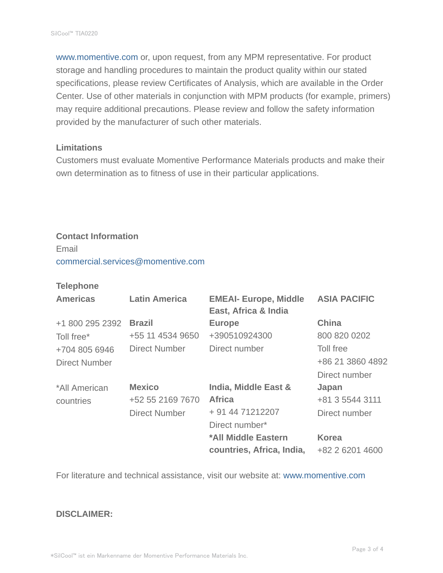www.momentive.com or, upon request, from any MPM representative. For product storage and handling procedures to maintain the product quality within our stated specifications, please review Certificates of Analysis, which are available in the Order Center. Use of other materials in conjunction with MPM products (for example, primers) may require additional precautions. Please review and follow the safety information provided by the manufacturer of such other materials.

#### **Limitations**

Customers must evaluate Momentive Performance Materials products and make their own determination as to fitness of use in their particular applications.

# **Contact Information**

Email commercial.services@momentive.com

#### **Telephone**

| <b>Americas</b> | <b>Latin America</b> | <b>EMEAI- Europe, Middle</b><br>East, Africa & India | <b>ASIA PACIFIC</b> |
|-----------------|----------------------|------------------------------------------------------|---------------------|
| +1 800 295 2392 | <b>Brazil</b>        | <b>Europe</b>                                        | <b>China</b>        |
| Toll free*      | +55 11 4534 9650     | +390510924300                                        | 800 820 0202        |
| +704 805 6946   | <b>Direct Number</b> | Direct number                                        | Toll free           |
| Direct Number   |                      |                                                      | +86 21 3860 4892    |
|                 |                      |                                                      | Direct number       |
| *All American   | <b>Mexico</b>        | <b>India, Middle East &amp;</b>                      | Japan               |
| countries       | +52 55 2169 7670     | <b>Africa</b>                                        | +81 3 5544 3111     |
|                 | <b>Direct Number</b> | + 91 44 71212207                                     | Direct number       |
|                 |                      | Direct number*                                       |                     |
|                 |                      | *All Middle Eastern                                  | <b>Korea</b>        |
|                 |                      | countries, Africa, India,                            | +82 2 6201 4600     |

For literature and technical assistance, visit our website at: www.momentive.com

#### **DISCLAIMER:**